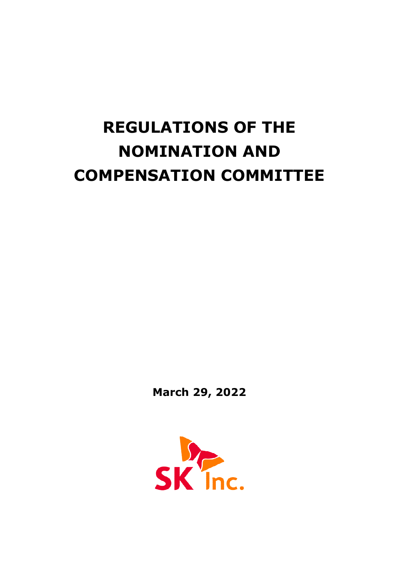# **REGULATIONS OF THE NOMINATION AND COMPENSATION COMMITTEE**

**March 29, 2022**

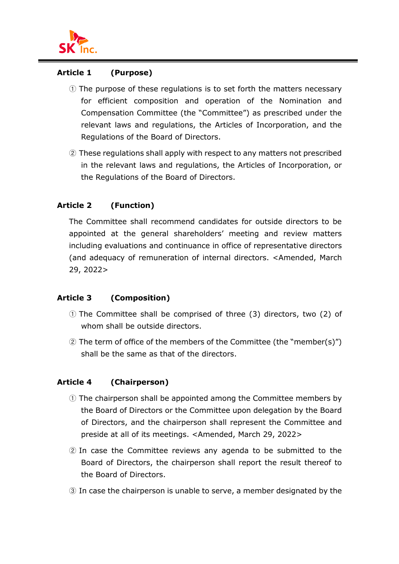

#### **Article 1 (Purpose)**

- ① The purpose of these regulations is to set forth the matters necessary for efficient composition and operation of the Nomination and Compensation Committee (the "Committee") as prescribed under the relevant laws and regulations, the Articles of Incorporation, and the Regulations of the Board of Directors.
- ② These regulations shall apply with respect to any matters not prescribed in the relevant laws and regulations, the Articles of Incorporation, or the Regulations of the Board of Directors.

#### **Article 2 (Function)**

The Committee shall recommend candidates for outside directors to be appointed at the general shareholders' meeting and review matters including evaluations and continuance in office of representative directors (and adequacy of remuneration of internal directors. <Amended, March 29, 2022>

#### **Article 3 (Composition)**

- ① The Committee shall be comprised of three (3) directors, two (2) of whom shall be outside directors.
- ② The term of office of the members of the Committee (the "member(s)") shall be the same as that of the directors.

#### **Article 4 (Chairperson)**

- ① The chairperson shall be appointed among the Committee members by the Board of Directors or the Committee upon delegation by the Board of Directors, and the chairperson shall represent the Committee and preside at all of its meetings. <Amended, March 29, 2022>
- ② In case the Committee reviews any agenda to be submitted to the Board of Directors, the chairperson shall report the result thereof to the Board of Directors.
- ③ In case the chairperson is unable to serve, a member designated by the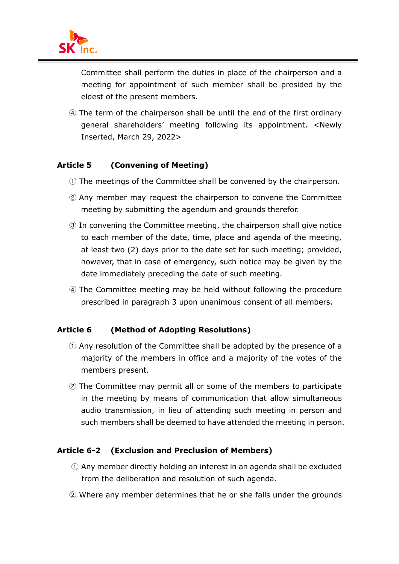

Committee shall perform the duties in place of the chairperson and a meeting for appointment of such member shall be presided by the eldest of the present members.

④ The term of the chairperson shall be until the end of the first ordinary general shareholders' meeting following its appointment. <Newly Inserted, March 29, 2022>

## **Article 5 (Convening of Meeting)**

- ① The meetings of the Committee shall be convened by the chairperson.
- ② Any member may request the chairperson to convene the Committee meeting by submitting the agendum and grounds therefor.
- ③ In convening the Committee meeting, the chairperson shall give notice to each member of the date, time, place and agenda of the meeting, at least two (2) days prior to the date set for such meeting; provided, however, that in case of emergency, such notice may be given by the date immediately preceding the date of such meeting.
- ④ The Committee meeting may be held without following the procedure prescribed in paragraph 3 upon unanimous consent of all members.

#### **Article 6 (Method of Adopting Resolutions)**

- ① Any resolution of the Committee shall be adopted by the presence of a majority of the members in office and a majority of the votes of the members present.
- ② The Committee may permit all or some of the members to participate in the meeting by means of communication that allow simultaneous audio transmission, in lieu of attending such meeting in person and such members shall be deemed to have attended the meeting in person.

#### **Article 6-2 (Exclusion and Preclusion of Members)**

- ① Any member directly holding an interest in an agenda shall be excluded from the deliberation and resolution of such agenda.
- ② Where any member determines that he or she falls under the grounds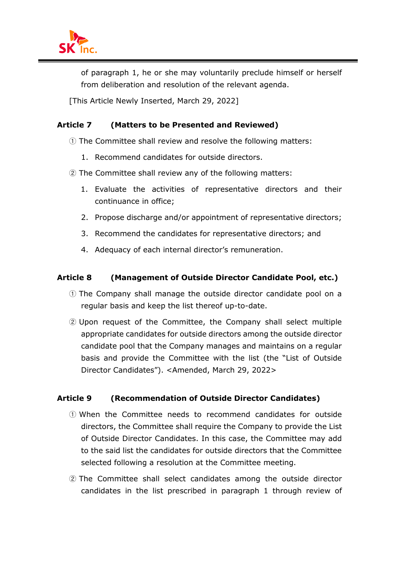of paragraph 1, he or she may voluntarily preclude himself or herself from deliberation and resolution of the relevant agenda.

[This Article Newly Inserted, March 29, 2022]

# **Article 7 (Matters to be Presented and Reviewed)**

- ① The Committee shall review and resolve the following matters:
	- 1. Recommend candidates for outside directors.
- ② The Committee shall review any of the following matters:
	- 1. Evaluate the activities of representative directors and their continuance in office;
	- 2. Propose discharge and/or appointment of representative directors;
	- 3. Recommend the candidates for representative directors; and
	- 4. Adequacy of each internal director's remuneration.

## **Article 8 (Management of Outside Director Candidate Pool, etc.)**

- ① The Company shall manage the outside director candidate pool on a regular basis and keep the list thereof up-to-date.
- ② Upon request of the Committee, the Company shall select multiple appropriate candidates for outside directors among the outside director candidate pool that the Company manages and maintains on a regular basis and provide the Committee with the list (the "List of Outside Director Candidates"). <Amended, March 29, 2022>

# **Article 9 (Recommendation of Outside Director Candidates)**

- ① When the Committee needs to recommend candidates for outside directors, the Committee shall require the Company to provide the List of Outside Director Candidates. In this case, the Committee may add to the said list the candidates for outside directors that the Committee selected following a resolution at the Committee meeting.
- ② The Committee shall select candidates among the outside director candidates in the list prescribed in paragraph 1 through review of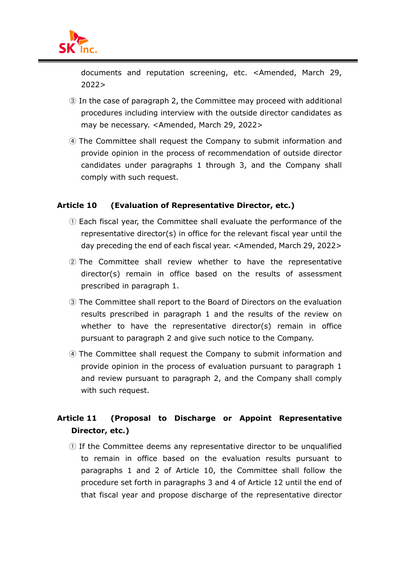

documents and reputation screening, etc. <Amended, March 29, 2022>

- ③ In the case of paragraph 2, the Committee may proceed with additional procedures including interview with the outside director candidates as may be necessary. <Amended, March 29, 2022>
- ④ The Committee shall request the Company to submit information and provide opinion in the process of recommendation of outside director candidates under paragraphs 1 through 3, and the Company shall comply with such request.

#### **Article 10 (Evaluation of Representative Director, etc.)**

- ① Each fiscal year, the Committee shall evaluate the performance of the representative director(s) in office for the relevant fiscal year until the day preceding the end of each fiscal year. <Amended, March 29, 2022>
- ② The Committee shall review whether to have the representative director(s) remain in office based on the results of assessment prescribed in paragraph 1.
- ③ The Committee shall report to the Board of Directors on the evaluation results prescribed in paragraph 1 and the results of the review on whether to have the representative director(s) remain in office pursuant to paragraph 2 and give such notice to the Company.
- ④ The Committee shall request the Company to submit information and provide opinion in the process of evaluation pursuant to paragraph 1 and review pursuant to paragraph 2, and the Company shall comply with such request.

# **Article 11 (Proposal to Discharge or Appoint Representative Director, etc.)**

① If the Committee deems any representative director to be unqualified to remain in office based on the evaluation results pursuant to paragraphs 1 and 2 of Article 10, the Committee shall follow the procedure set forth in paragraphs 3 and 4 of Article 12 until the end of that fiscal year and propose discharge of the representative director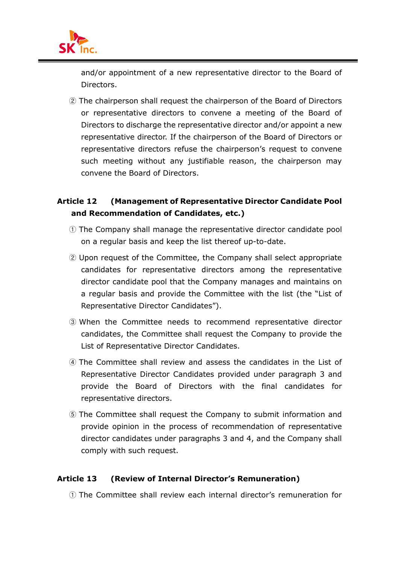

and/or appointment of a new representative director to the Board of Directors.

② The chairperson shall request the chairperson of the Board of Directors or representative directors to convene a meeting of the Board of Directors to discharge the representative director and/or appoint a new representative director. If the chairperson of the Board of Directors or representative directors refuse the chairperson's request to convene such meeting without any justifiable reason, the chairperson may convene the Board of Directors.

# **Article 12 (Management of Representative Director Candidate Pool and Recommendation of Candidates, etc.)**

- ① The Company shall manage the representative director candidate pool on a regular basis and keep the list thereof up-to-date.
- ② Upon request of the Committee, the Company shall select appropriate candidates for representative directors among the representative director candidate pool that the Company manages and maintains on a regular basis and provide the Committee with the list (the "List of Representative Director Candidates").
- ③ When the Committee needs to recommend representative director candidates, the Committee shall request the Company to provide the List of Representative Director Candidates.
- ④ The Committee shall review and assess the candidates in the List of Representative Director Candidates provided under paragraph 3 and provide the Board of Directors with the final candidates for representative directors.
- ⑤ The Committee shall request the Company to submit information and provide opinion in the process of recommendation of representative director candidates under paragraphs 3 and 4, and the Company shall comply with such request.

#### **Article 13 (Review of Internal Director's Remuneration)**

① The Committee shall review each internal director's remuneration for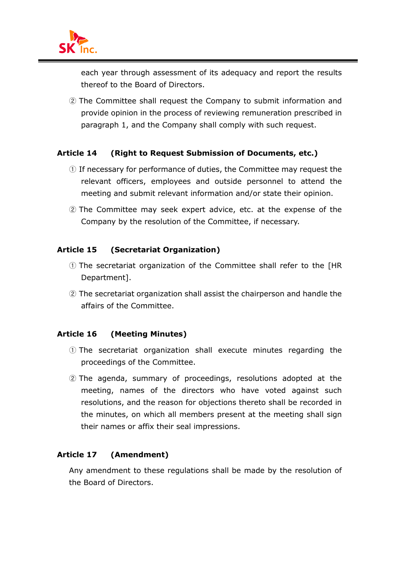

each year through assessment of its adequacy and report the results thereof to the Board of Directors.

② The Committee shall request the Company to submit information and provide opinion in the process of reviewing remuneration prescribed in paragraph 1, and the Company shall comply with such request.

#### **Article 14 (Right to Request Submission of Documents, etc.)**

- ① If necessary for performance of duties, the Committee may request the relevant officers, employees and outside personnel to attend the meeting and submit relevant information and/or state their opinion.
- ② The Committee may seek expert advice, etc. at the expense of the Company by the resolution of the Committee, if necessary.

#### **Article 15 (Secretariat Organization)**

- ① The secretariat organization of the Committee shall refer to the [HR Department].
- ② The secretariat organization shall assist the chairperson and handle the affairs of the Committee.

#### **Article 16 (Meeting Minutes)**

- ① The secretariat organization shall execute minutes regarding the proceedings of the Committee.
- ② The agenda, summary of proceedings, resolutions adopted at the meeting, names of the directors who have voted against such resolutions, and the reason for objections thereto shall be recorded in the minutes, on which all members present at the meeting shall sign their names or affix their seal impressions.

#### **Article 17 (Amendment)**

Any amendment to these regulations shall be made by the resolution of the Board of Directors.